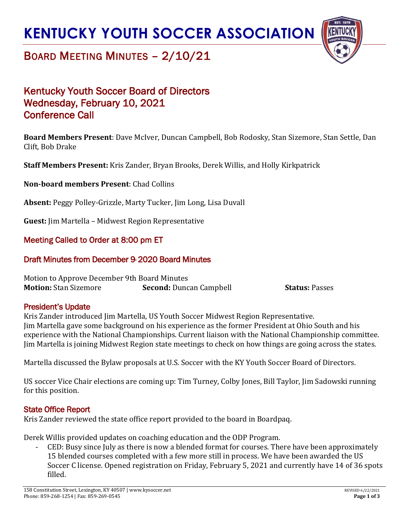# **KENTUCKY YOUTH SOCCER ASSOCIATION**



## BOARD MEETING MINUTES – 2/10/21

### Kentucky Youth Soccer Board of Directors Wednesday, February 10, 2021 Conference Call

**Board Members Present**: Dave McIver, Duncan Campbell, Bob Rodosky, Stan Sizemore, Stan Settle, Dan Clift, Bob Drake

**Staff Members Present:** Kris Zander, Bryan Brooks, Derek Willis, and Holly Kirkpatrick

**Non-board members Present**: Chad Collins

**Absent:** Peggy Polley-Grizzle, Marty Tucker, Jim Long, Lisa Duvall

**Guest:** Jim Martella – Midwest Region Representative

### Meeting Called to Order at 8:00 pm ET

### Draft Minutes from December 9, 2020 Board Minutes

Motion to Approve December 9th Board Minutes **Motion:** Stan Sizemore **Second:** Duncan Campbell **Status:** Passes

#### President's Update

Kris Zander introduced Jim Martella, US Youth Soccer Midwest Region Representative. Jim Martella gave some background on his experience as the former President at Ohio South and his experience with the National Championships. Current liaison with the National Championship committee. Jim Martella is joining Midwest Region state meetings to check on how things are going across the states.

Martella discussed the Bylaw proposals at U.S. Soccer with the KY Youth Soccer Board of Directors.

US soccer Vice Chair elections are coming up: Tim Turney, Colby Jones, Bill Taylor, Jim Sadowski running for this position.

### State Office Report

Kris Zander reviewed the state office report provided to the board in Boardpaq.

Derek Willis provided updates on coaching education and the ODP Program.

CED: Busy since July as there is now a blended format for courses. There have been approximately 15 blended courses completed with a few more still in process. We have been awarded the US Soccer C license. Opened registration on Friday, February 5, 2021 and currently have 14 of 36 spots filled.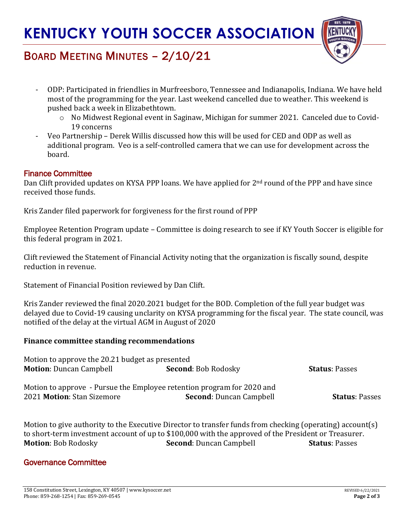

## BOARD MEETING MINUTES – 2/10/21

- ODP: Participated in friendlies in Murfreesboro, Tennessee and Indianapolis, Indiana. We have held most of the programming for the year. Last weekend cancelled due to weather. This weekend is pushed back a week in Elizabethtown.
	- o No Midwest Regional event in Saginaw, Michigan for summer 2021. Canceled due to Covid-19 concerns
- Veo Partnership Derek Willis discussed how this will be used for CED and ODP as well as additional program. Veo is a self-controlled camera that we can use for development across the board.

### Finance Committee

Dan Clift provided updates on KYSA PPP loans. We have applied for 2<sup>nd</sup> round of the PPP and have since received those funds.

Kris Zander filed paperwork for forgiveness for the first round of PPP

Employee Retention Program update – Committee is doing research to see if KY Youth Soccer is eligible for this federal program in 2021.

Clift reviewed the Statement of Financial Activity noting that the organization is fiscally sound, despite reduction in revenue.

Statement of Financial Position reviewed by Dan Clift.

Kris Zander reviewed the final 2020.2021 budget for the BOD. Completion of the full year budget was delayed due to Covid-19 causing unclarity on KYSA programming for the fiscal year. The state council, was notified of the delay at the virtual AGM in August of 2020

#### **Finance committee standing recommendations**

| Motion to approve the 20.21 budget as presented                        |                                |                       |
|------------------------------------------------------------------------|--------------------------------|-----------------------|
| <b>Motion: Duncan Campbell</b>                                         | <b>Second: Bob Rodosky</b>     | <b>Status: Passes</b> |
| Motion to approve - Pursue the Employee retention program for 2020 and |                                |                       |
| 2021 Motion: Stan Sizemore                                             | <b>Second: Duncan Campbell</b> | <b>Status: Passes</b> |

Motion to give authority to the Executive Director to transfer funds from checking (operating) account(s) to short-term investment account of up to \$100,000 with the approved of the President or Treasurer. **Motion**: Bob Rodosky **Second**: Duncan Campbell **Status**: Passes

#### Governance Committee